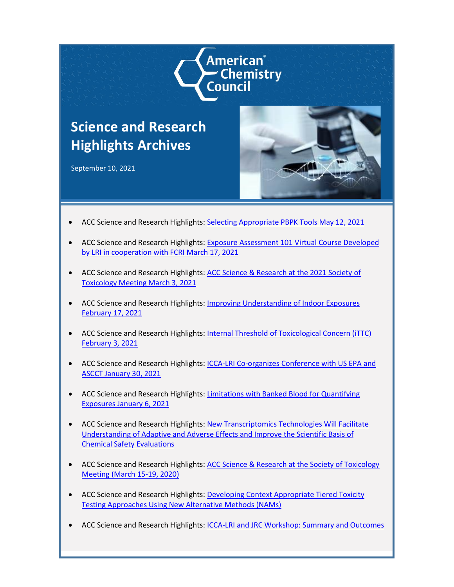

## **Science and Research Highlights Archives**

September 10, 2021



- ACC Science and Research Highlights: [Selecting Appropriate PBPK Tools May 12, 2021](https://www.americanchemistry.com/media/files/acc/better-policy-regulation/research/long-range-research-initiative/files/selecting-appropriate-pbpk-tools-may-12-2021)
- ACC Science and Research Highlights: [Exposure Assessment 101 Virtual Course Developed](https://www.americanchemistry.com/media/files/acc/better-policy-regulation/research/long-range-research-initiative/files/exposure-assessment-101-virtual-course)  [by LRI in cooperation with FCRI](https://www.americanchemistry.com/media/files/acc/better-policy-regulation/research/long-range-research-initiative/files/exposure-assessment-101-virtual-course) March 17, 2021
- ACC Science and Research Highlights: [ACC Science & Research at the 2021 Society of](https://www.americanchemistry.com/content/download/6772/file/ACC-Science-and-Research-Highlights-ACC-Science-Research-at-the-Society-of-Toxicology-Meeting-March-12-26-2021.pdf)  [Toxicology Meeting March 3, 2021](https://www.americanchemistry.com/content/download/6772/file/ACC-Science-and-Research-Highlights-ACC-Science-Research-at-the-Society-of-Toxicology-Meeting-March-12-26-2021.pdf)
- ACC Science and Research Highlights: Improving Understanding of Indoor Exposures [February 17, 2021](https://www.americanchemistry.com/content/download/6774/file/Science-Highlight-Improving-Understanding-of-Indoor-Exposures.pdf)
- ACC Science and Research Highlights: [Internal Threshold of Toxicological Concern \(iTTC\)](https://www.americanchemistry.com/content/download/6776/file/Science-Highlight-Internal-Threshold-of-Toxicological-Concern-iTTC.pdf)  [February 3, 2021](https://www.americanchemistry.com/content/download/6776/file/Science-Highlight-Internal-Threshold-of-Toxicological-Concern-iTTC.pdf)
- ACC Science and Research Highlights: [ICCA-LRI Co-organizes Conference with US EPA and](https://www.americanchemistry.com/content/download/6778/file/Science-Highlight-ICCA-LRI-Co-organizes-Conference-with-US%20EPA-and-ASCCT.pdf)  [ASCCT January 30, 2021](https://www.americanchemistry.com/content/download/6778/file/Science-Highlight-ICCA-LRI-Co-organizes-Conference-with-US%20EPA-and-ASCCT.pdf)
- ACC Science and Research Highlights: [Limitations with Banked Blood for Quantifying](https://www.americanchemistry.com/content/download/6780/file/Science-Highlight-Too-Many-Limitations-Encountered-to-Use-Banked-Blood-Specimens-for-Detecting-and-Quantifying-Exposures.pdf)  [Exposures January 6, 2021](https://www.americanchemistry.com/content/download/6780/file/Science-Highlight-Too-Many-Limitations-Encountered-to-Use-Banked-Blood-Specimens-for-Detecting-and-Quantifying-Exposures.pdf)
- ACC Science and Research Highlights: New Transcriptomics Technologies Will Facilitate [Understanding of Adaptive and Adverse Effects and Improve the Scientific Basis of](https://www.americanchemistry.com/content/download/6782/file/ACC-Science-and-Research-Highlights-New-Transcriptomics-Technologies-Will-Facilitate-Understanding-of-Adaptive-and-Adverse-Effects-and-Improve-the-Scientific-Basis-of-Chemical-Safety-Evaluations.pdf)  [Chemical Safety Evaluations](https://www.americanchemistry.com/content/download/6782/file/ACC-Science-and-Research-Highlights-New-Transcriptomics-Technologies-Will-Facilitate-Understanding-of-Adaptive-and-Adverse-Effects-and-Improve-the-Scientific-Basis-of-Chemical-Safety-Evaluations.pdf)
- ACC Science and Research Highlights: ACC Science & Research at the Society of Toxicology [Meeting \(March 15-19, 2020\)](https://www.americanchemistry.com/content/download/6784/file/ACC-Science-and-Research-Highlights-ACC-Science-Research-at-the-Society-of-Toxicology-Meeting-March-15-19-2020.pdf)
- ACC Science and Research Highlights: [Developing Context Appropriate Tiered Toxicity](https://www.americanchemistry.com/content/download/6786/file/ACC-Science-and-Research-Highlights-Developing-Context-Appropriate-Tiered-Toxicity-Testing-Approaches-Using-New-Alternative-Methods-NAMs.pdf)  [Testing Approaches Using New Alternative Methods \(NAMs\)](https://www.americanchemistry.com/content/download/6786/file/ACC-Science-and-Research-Highlights-Developing-Context-Appropriate-Tiered-Toxicity-Testing-Approaches-Using-New-Alternative-Methods-NAMs.pdf)
- ACC Science and Research Highlights: [ICCA-LRI and JRC Workshop: Summary and Outcomes](https://www.americanchemistry.com/content/download/6788/file/ACC-Science-and-Research-Highlights-ICCA-LRI-and-JRC-Workshop-Summary-and-Outcomes.pdf)